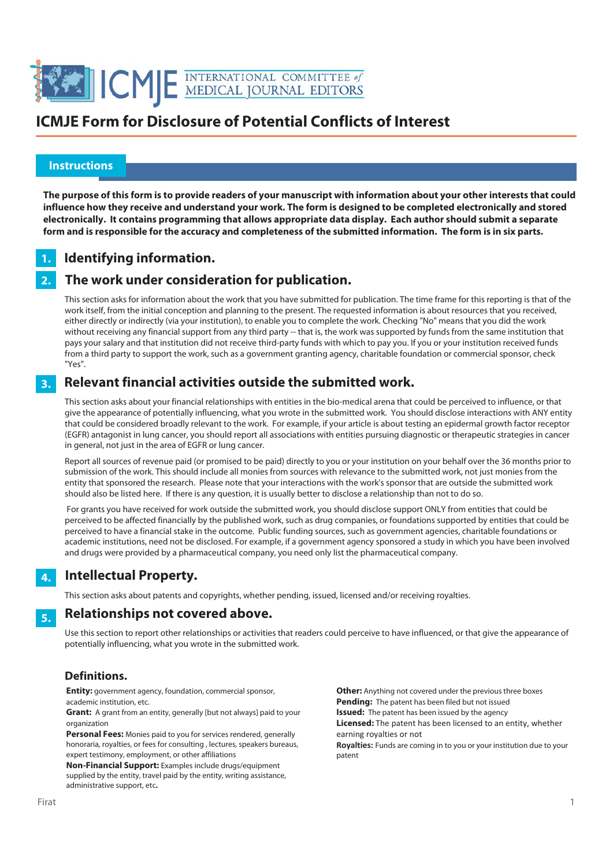

# **ICMJE Form for Disclosure of Potential Conflicts of Interest**

### **Instructions**

 l

> **The purpose of this form is to provide readers of your manuscript with information about your other interests that could influence how they receive and understand your work. The form is designed to be completed electronically and stored electronically. It contains programming that allows appropriate data display. Each author should submit a separate form and is responsible for the accuracy and completeness of the submitted information. The form is in six parts.**

#### **Identifying information. 1.**

#### **The work under consideration for publication. 2.**

This section asks for information about the work that you have submitted for publication. The time frame for this reporting is that of the work itself, from the initial conception and planning to the present. The requested information is about resources that you received, either directly or indirectly (via your institution), to enable you to complete the work. Checking "No" means that you did the work without receiving any financial support from any third party -- that is, the work was supported by funds from the same institution that pays your salary and that institution did not receive third-party funds with which to pay you. If you or your institution received funds from a third party to support the work, such as a government granting agency, charitable foundation or commercial sponsor, check "Yes".

### **Relevant financial activities outside the submitted work. 3.**

This section asks about your financial relationships with entities in the bio-medical arena that could be perceived to influence, or that give the appearance of potentially influencing, what you wrote in the submitted work. You should disclose interactions with ANY entity that could be considered broadly relevant to the work. For example, if your article is about testing an epidermal growth factor receptor (EGFR) antagonist in lung cancer, you should report all associations with entities pursuing diagnostic or therapeutic strategies in cancer in general, not just in the area of EGFR or lung cancer.

Report all sources of revenue paid (or promised to be paid) directly to you or your institution on your behalf over the 36 months prior to submission of the work. This should include all monies from sources with relevance to the submitted work, not just monies from the entity that sponsored the research. Please note that your interactions with the work's sponsor that are outside the submitted work should also be listed here. If there is any question, it is usually better to disclose a relationship than not to do so.

 For grants you have received for work outside the submitted work, you should disclose support ONLY from entities that could be perceived to be affected financially by the published work, such as drug companies, or foundations supported by entities that could be perceived to have a financial stake in the outcome. Public funding sources, such as government agencies, charitable foundations or academic institutions, need not be disclosed. For example, if a government agency sponsored a study in which you have been involved and drugs were provided by a pharmaceutical company, you need only list the pharmaceutical company.

#### **Intellectual Property. 4.**

This section asks about patents and copyrights, whether pending, issued, licensed and/or receiving royalties.

### **Relationships not covered above. 5.**

Use this section to report other relationships or activities that readers could perceive to have influenced, or that give the appearance of potentially influencing, what you wrote in the submitted work.

### **Definitions.**

**Entity:** government agency, foundation, commercial sponsor, academic institution, etc.

**Grant:** A grant from an entity, generally [but not always] paid to your organization

**Personal Fees:** Monies paid to you for services rendered, generally honoraria, royalties, or fees for consulting , lectures, speakers bureaus, expert testimony, employment, or other affiliations

**Non-Financial Support:** Examples include drugs/equipment supplied by the entity, travel paid by the entity, writing assistance, administrative support, etc**.**

**Other:** Anything not covered under the previous three boxes **Pending:** The patent has been filed but not issued **Issued:** The patent has been issued by the agency **Licensed:** The patent has been licensed to an entity, whether earning royalties or not **Royalties:** Funds are coming in to you or your institution due to your patent

Firat 1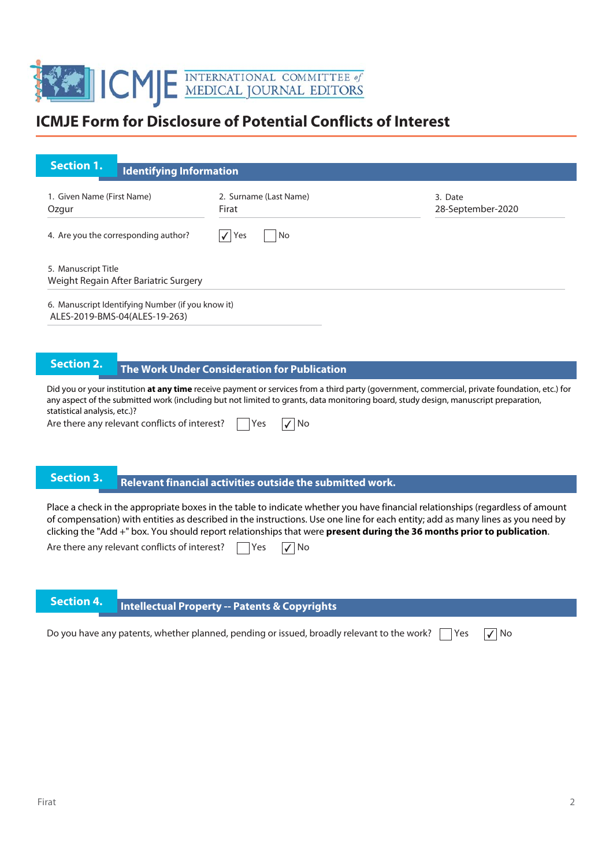

# **ICMJE Form for Disclosure of Potential Conflicts of Interest**

| <b>Section 1.</b>                                                                                                                                                                                                                                                                                                                                                                                                                                                         | <b>Identifying Information</b>                            |                                 |  |                              |  |
|---------------------------------------------------------------------------------------------------------------------------------------------------------------------------------------------------------------------------------------------------------------------------------------------------------------------------------------------------------------------------------------------------------------------------------------------------------------------------|-----------------------------------------------------------|---------------------------------|--|------------------------------|--|
| 1. Given Name (First Name)<br>Ozgur                                                                                                                                                                                                                                                                                                                                                                                                                                       |                                                           | 2. Surname (Last Name)<br>Firat |  | 3. Date<br>28-September-2020 |  |
| 4. Are you the corresponding author?                                                                                                                                                                                                                                                                                                                                                                                                                                      |                                                           | $\sqrt{Y}$<br>No                |  |                              |  |
| 5. Manuscript Title<br>Weight Regain After Bariatric Surgery                                                                                                                                                                                                                                                                                                                                                                                                              |                                                           |                                 |  |                              |  |
| 6. Manuscript Identifying Number (if you know it)<br>ALES-2019-BMS-04(ALES-19-263)                                                                                                                                                                                                                                                                                                                                                                                        |                                                           |                                 |  |                              |  |
| <b>Section 2.</b>                                                                                                                                                                                                                                                                                                                                                                                                                                                         |                                                           |                                 |  |                              |  |
| <b>The Work Under Consideration for Publication</b><br>Did you or your institution at any time receive payment or services from a third party (government, commercial, private foundation, etc.) for<br>any aspect of the submitted work (including but not limited to grants, data monitoring board, study design, manuscript preparation,<br>statistical analysis, etc.)?<br>Are there any relevant conflicts of interest?<br>$\sqrt{}$<br>No<br>Yes                    |                                                           |                                 |  |                              |  |
| <b>Section 3.</b>                                                                                                                                                                                                                                                                                                                                                                                                                                                         | Relevant financial activities outside the submitted work. |                                 |  |                              |  |
| Place a check in the appropriate boxes in the table to indicate whether you have financial relationships (regardless of amount<br>of compensation) with entities as described in the instructions. Use one line for each entity; add as many lines as you need by<br>clicking the "Add +" box. You should report relationships that were present during the 36 months prior to publication.<br>Are there any relevant conflicts of interest?<br>No<br>$\checkmark$<br>Yes |                                                           |                                 |  |                              |  |
| <b>Section 4.</b>                                                                                                                                                                                                                                                                                                                                                                                                                                                         | <b>Intellectual Property -- Patents &amp; Copyrights</b>  |                                 |  |                              |  |
| Do you have any patents, whether planned, pending or issued, broadly relevant to the work?<br>$\sqrt{ NQ}$<br>Yes                                                                                                                                                                                                                                                                                                                                                         |                                                           |                                 |  |                              |  |